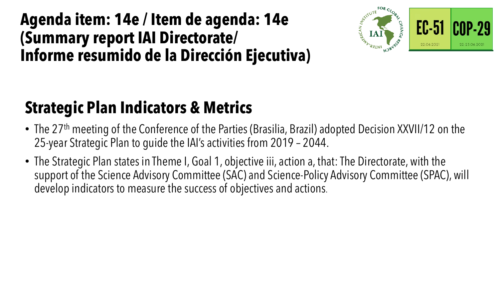### **Agenda item: 14e / Item de agenda: 14e (Summary report IAI Directorate/ Informe resumido de la Dirección Ejecutiva)**



# **Strategic Plan Indicators & Metrics**

- The 27<sup>th</sup> meeting of the Conference of the Parties (Brasilia, Brazil) adopted Decision XXVII/12 on the 25-year Strategic Plan to guide the IAI's activities from 2019 – 2044.
- The Strategic Plan states in Theme I, Goal 1, objective iii, action a, that: The Directorate, with the support of the Science Advisory Committee (SAC) and Science-Policy Advisory Committee (SPAC), will develop indicators to measure the success of objectives and actions.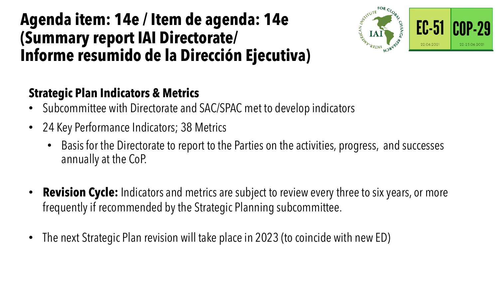### **Agenda item: 14e / Item de agenda: 14e (Summary report IAI Directorate/ Informe resumido de la Dirección Ejecutiva)**



#### **Strategic Plan Indicators & Metrics**

- Subcommittee with Directorate and SAC/SPAC met to develop indicators
- 24 Key Performance Indicators; 38 Metrics
	- Basis for the Directorate to report to the Parties on the activities, progress, and successes annually at the CoP.
- **Revision Cycle:** Indicators and metrics are subject to review every three to six years, or more frequently if recommended by the Strategic Planning subcommittee.
- The next Strategic Plan revision will take place in 2023 (to coincide with new ED)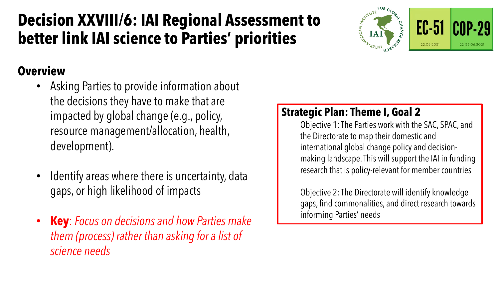## **Decision XXVIII/6: IAI Regional Assessment to better link IAI science to Parties' priorities**





#### **Overview**

- Asking Parties to provide information about the decisions they have to make that are impacted by global change (e.g., policy, resource management/allocation, health, development).
- Identify areas where there is uncertainty, data gaps, or high likelihood of impacts
- **Key**: *Focus on decisions and how Parties make them (process) rather than asking for a list of science needs*

#### **Strategic Plan: Theme I, Goal 2**

Objective 1: The Parties work with the SAC, SPAC, and the Directorate to map their domestic and international global change policy and decisionmaking landscape. This will support the IAI in funding research that is policy-relevant for member countries

Objective 2: The Directorate will identify knowledge gaps, find commonalities, and direct research towards informing Parties' needs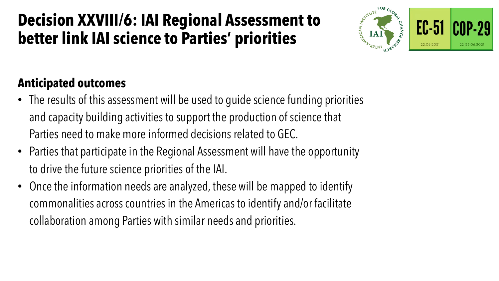### **Decision XXVIII/6: IAI Regional Assessment to better link IAI science to Parties' priorities**



#### **Anticipated outcomes**

- The results of this assessment will be used to guide science funding priorities and capacity building activities to support the production of science that Parties need to make more informed decisions related to GEC.
- Parties that participate in the Regional Assessment will have the opportunity to drive the future science priorities of the IAI.
- Once the information needs are analyzed, these will be mapped to identify commonalities across countries in the Americas to identify and/or facilitate collaboration among Parties with similar needs and priorities.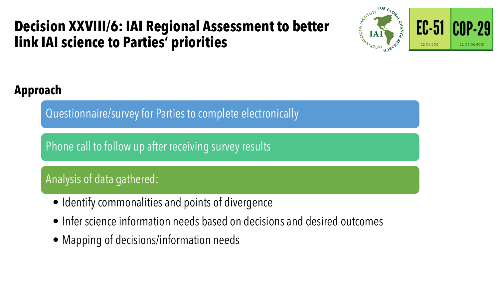### **Decision XXVIII/6: IAI Regional Assessment to better link IAI science to Parties' priorities**





#### **Approach**

Questionnaire/survey for Parties to complete electronically

Phone call to follow up after receiving survey results

#### Analysis of data gathered:

- Identify commonalities and points of divergence
- Infer science information needs based on decisions and desired outcomes
- Mapping of decisions/information needs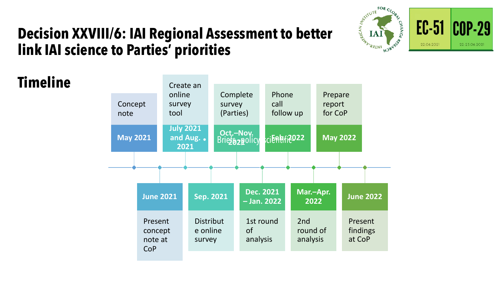

 $EC-51$ 

22.06.2021

**COP-29** 

22-23.06.2021

### **Decision XXVIII/6: IAI Regional Assessment to better link IAI science to Parties' priorities**

**Timeline**

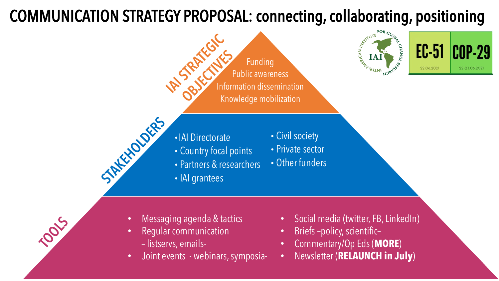## COMMUNICATION STRATEGY PROPOSAL: connecting, collaborating, positioning



- Messaging agenda & tactics
- Regular communication
	- listservs, emails-

**TOOLS** 

• Joint events - webinars, symposia-

• Social media (twitter, FB, LinkedIn)

**COP-29** 

22-23.06.2021

- Briefs –policy, scientific–
- Commentary/Op Eds (**MORE**)
- Newsletter (**RELAUNCH in July**)